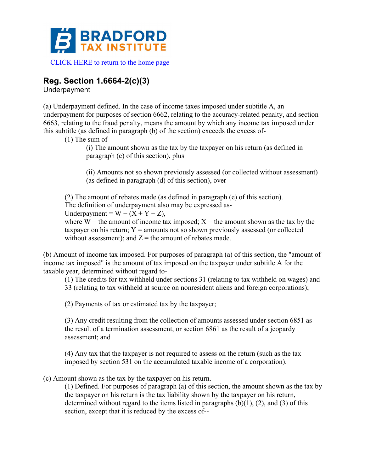

## **Reg. Section 1.6664-2(c)(3)**

Underpayment

(a) Underpayment defined. In the case of income taxes imposed under subtitle A, an underpayment for purposes of section 6662, relating to the accuracy-related penalty, and section 6663, relating to the fraud penalty, means the amount by which any income tax imposed under this subtitle (as defined in paragraph (b) of the section) exceeds the excess of-

(1) The sum of-

(i) The amount shown as the tax by the taxpayer on his return (as defined in paragraph (c) of this section), plus

(ii) Amounts not so shown previously assessed (or collected without assessment) (as defined in paragraph (d) of this section), over

(2) The amount of rebates made (as defined in paragraph (e) of this section). The definition of underpayment also may be expressed as-Underpayment =  $W - (X + Y - Z)$ ,

where  $W =$  the amount of income tax imposed;  $X =$  the amount shown as the tax by the taxpayer on his return;  $Y =$  amounts not so shown previously assessed (or collected without assessment); and  $Z =$  the amount of rebates made.

(b) Amount of income tax imposed. For purposes of paragraph (a) of this section, the "amount of income tax imposed" is the amount of tax imposed on the taxpayer under subtitle A for the taxable year, determined without regard to-

(1) The credits for tax withheld under sections 31 (relating to tax withheld on wages) and 33 (relating to tax withheld at source on nonresident aliens and foreign corporations);

(2) Payments of tax or estimated tax by the taxpayer;

(3) Any credit resulting from the collection of amounts assessed under section 6851 as the result of a termination assessment, or section 6861 as the result of a jeopardy assessment; and

(4) Any tax that the taxpayer is not required to assess on the return (such as the tax imposed by section 531 on the accumulated taxable income of a corporation).

(c) Amount shown as the tax by the taxpayer on his return.

(1) Defined. For purposes of paragraph (a) of this section, the amount shown as the tax by the taxpayer on his return is the tax liability shown by the taxpayer on his return, determined without regard to the items listed in paragraphs  $(b)(1)$ ,  $(2)$ , and  $(3)$  of this section, except that it is reduced by the excess of--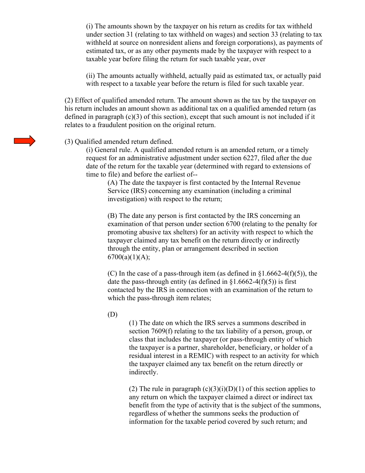(i) The amounts shown by the taxpayer on his return as credits for tax withheld under section 31 (relating to tax withheld on wages) and section 33 (relating to tax withheld at source on nonresident aliens and foreign corporations), as payments of estimated tax, or as any other payments made by the taxpayer with respect to a taxable year before filing the return for such taxable year, over

(ii) The amounts actually withheld, actually paid as estimated tax, or actually paid with respect to a taxable year before the return is filed for such taxable year.

(2) Effect of qualified amended return. The amount shown as the tax by the taxpayer on his return includes an amount shown as additional tax on a qualified amended return (as defined in paragraph  $(c)(3)$  of this section), except that such amount is not included if it relates to a fraudulent position on the original return.

## (3) Qualified amended return defined.

(i) General rule. A qualified amended return is an amended return, or a timely request for an administrative adjustment under section 6227, filed after the due date of the return for the taxable year (determined with regard to extensions of time to file) and before the earliest of--

(A) The date the taxpayer is first contacted by the Internal Revenue Service (IRS) concerning any examination (including a criminal investigation) with respect to the return;

(B) The date any person is first contacted by the IRS concerning an examination of that person under section 6700 (relating to the penalty for promoting abusive tax shelters) for an activity with respect to which the taxpayer claimed any tax benefit on the return directly or indirectly through the entity, plan or arrangement described in section  $6700(a)(1)(A);$ 

(C) In the case of a pass-through item (as defined in  $\S1.6662-4(f)(5)$ ), the date the pass-through entity (as defined in  $\S1.6662-4(f)(5)$ ) is first contacted by the IRS in connection with an examination of the return to which the pass-through item relates;

(D)

(1) The date on which the IRS serves a summons described in section 7609(f) relating to the tax liability of a person, group, or class that includes the taxpayer (or pass-through entity of which the taxpayer is a partner, shareholder, beneficiary, or holder of a residual interest in a REMIC) with respect to an activity for which the taxpayer claimed any tax benefit on the return directly or indirectly.

(2) The rule in paragraph  $(c)(3)(i)(D)(1)$  of this section applies to any return on which the taxpayer claimed a direct or indirect tax benefit from the type of activity that is the subject of the summons, regardless of whether the summons seeks the production of information for the taxable period covered by such return; and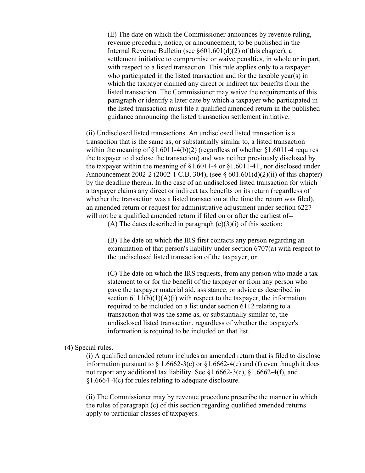(E) The date on which the Commissioner announces by revenue ruling, revenue procedure, notice, or announcement, to be published in the Internal Revenue Bulletin (see §601.601(d)(2) of this chapter), a settlement initiative to compromise or waive penalties, in whole or in part, with respect to a listed transaction. This rule applies only to a taxpayer who participated in the listed transaction and for the taxable year(s) in which the taxpayer claimed any direct or indirect tax benefits from the listed transaction. The Commissioner may waive the requirements of this paragraph or identify a later date by which a taxpayer who participated in the listed transaction must file a qualified amended return in the published guidance announcing the listed transaction settlement initiative.

(ii) Undisclosed listed transactions. An undisclosed listed transaction is a transaction that is the same as, or substantially similar to, a listed transaction within the meaning of  $\S1.6011-4(b)(2)$  (regardless of whether  $\S1.6011-4$  requires the taxpayer to disclose the transaction) and was neither previously disclosed by the taxpayer within the meaning of  $\S1.6011-4$  or  $\S1.6011-4$ , nor disclosed under Announcement 2002-2 (2002-1 C.B. 304), (see § 601.601(d)(2)(ii) of this chapter) by the deadline therein. In the case of an undisclosed listed transaction for which a taxpayer claims any direct or indirect tax benefits on its return (regardless of whether the transaction was a listed transaction at the time the return was filed), an amended return or request for administrative adjustment under section 6227 will not be a qualified amended return if filed on or after the earliest of--

(A) The dates described in paragraph  $(c)(3)(i)$  of this section;

(B) The date on which the IRS first contacts any person regarding an examination of that person's liability under section 6707(a) with respect to the undisclosed listed transaction of the taxpayer; or

(C) The date on which the IRS requests, from any person who made a tax statement to or for the benefit of the taxpayer or from any person who gave the taxpayer material aid, assistance, or advice as described in section  $6111(b)(1)(A)(i)$  with respect to the taxpayer, the information required to be included on a list under section 6112 relating to a transaction that was the same as, or substantially similar to, the undisclosed listed transaction, regardless of whether the taxpayer's information is required to be included on that list.

(4) Special rules.

(i) A qualified amended return includes an amended return that is filed to disclose information pursuant to  $\S 1.6662-3(c)$  or  $\S 1.6662-4(e)$  and (f) even though it does not report any additional tax liability. See  $$1.6662-3(c)$ ,  $$1.6662-4(f)$ , and §1.6664-4(c) for rules relating to adequate disclosure.

(ii) The Commissioner may by revenue procedure prescribe the manner in which the rules of paragraph (c) of this section regarding qualified amended returns apply to particular classes of taxpayers.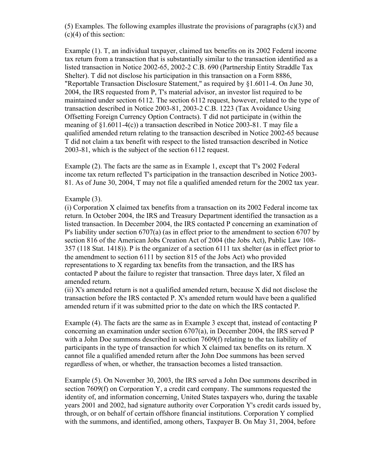(5) Examples. The following examples illustrate the provisions of paragraphs (c)(3) and  $(c)(4)$  of this section:

Example (1). T, an individual taxpayer, claimed tax benefits on its 2002 Federal income tax return from a transaction that is substantially similar to the transaction identified as a listed transaction in Notice 2002-65, 2002-2 C.B. 690 (Partnership Entity Straddle Tax Shelter). T did not disclose his participation in this transaction on a Form 8886, "Reportable Transaction Disclosure Statement," as required by §1.6011-4. On June 30, 2004, the IRS requested from P, T's material advisor, an investor list required to be maintained under section 6112. The section 6112 request, however, related to the type of transaction described in Notice 2003-81, 2003-2 C.B. 1223 (Tax Avoidance Using Offsetting Foreign Currency Option Contracts). T did not participate in (within the meaning of §1.6011-4(c)) a transaction described in Notice 2003-81. T may file a qualified amended return relating to the transaction described in Notice 2002-65 because T did not claim a tax benefit with respect to the listed transaction described in Notice 2003-81, which is the subject of the section 6112 request.

Example (2). The facts are the same as in Example 1, except that T's 2002 Federal income tax return reflected T's participation in the transaction described in Notice 2003- 81. As of June 30, 2004, T may not file a qualified amended return for the 2002 tax year.

## Example (3).

(i) Corporation X claimed tax benefits from a transaction on its 2002 Federal income tax return. In October 2004, the IRS and Treasury Department identified the transaction as a listed transaction. In December 2004, the IRS contacted P concerning an examination of P's liability under section 6707(a) (as in effect prior to the amendment to section 6707 by section 816 of the American Jobs Creation Act of 2004 (the Jobs Act), Public Law 108- 357 (118 Stat. 1418)). P is the organizer of a section 6111 tax shelter (as in effect prior to the amendment to section 6111 by section 815 of the Jobs Act) who provided representations to X regarding tax benefits from the transaction, and the IRS has contacted P about the failure to register that transaction. Three days later, X filed an amended return.

(ii) X's amended return is not a qualified amended return, because X did not disclose the transaction before the IRS contacted P. X's amended return would have been a qualified amended return if it was submitted prior to the date on which the IRS contacted P.

Example (4). The facts are the same as in Example 3 except that, instead of contacting P concerning an examination under section 6707(a), in December 2004, the IRS served P with a John Doe summons described in section 7609(f) relating to the tax liability of participants in the type of transaction for which X claimed tax benefits on its return. X cannot file a qualified amended return after the John Doe summons has been served regardless of when, or whether, the transaction becomes a listed transaction.

Example (5). On November 30, 2003, the IRS served a John Doe summons described in section 7609(f) on Corporation Y, a credit card company. The summons requested the identity of, and information concerning, United States taxpayers who, during the taxable years 2001 and 2002, had signature authority over Corporation Y's credit cards issued by, through, or on behalf of certain offshore financial institutions. Corporation Y complied with the summons, and identified, among others, Taxpayer B. On May 31, 2004, before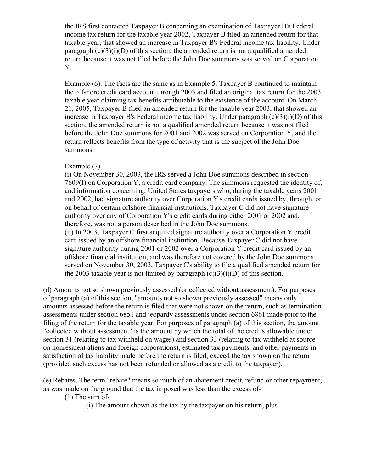the IRS first contacted Taxpayer B concerning an examination of Taxpayer B's Federal income tax return for the taxable year 2002, Taxpayer B filed an amended return for that taxable year, that showed an increase in Taxpayer B's Federal income tax liability. Under paragraph  $(c)(3)(i)(D)$  of this section, the amended return is not a qualified amended return because it was not filed before the John Doe summons was served on Corporation Y.

Example (6). The facts are the same as in Example 5. Taxpayer B continued to maintain the offshore credit card account through 2003 and filed an original tax return for the 2003 taxable year claiming tax benefits attributable to the existence of the account. On March 21, 2005, Taxpayer B filed an amended return for the taxable year 2003, that showed an increase in Taxpayer B's Federal income tax liability. Under paragraph  $(c)(3)(i)(D)$  of this section, the amended return is not a qualified amended return because it was not filed before the John Doe summons for 2001 and 2002 was served on Corporation Y, and the return reflects benefits from the type of activity that is the subject of the John Doe summons.

## Example (7).

(i) On November 30, 2003, the IRS served a John Doe summons described in section 7609(f) on Corporation Y, a credit card company. The summons requested the identity of, and information concerning, United States taxpayers who, during the taxable years 2001 and 2002, had signature authority over Corporation Y's credit cards issued by, through, or on behalf of certain offshore financial institutions. Taxpayer C did not have signature authority over any of Corporation Y's credit cards during either 2001 or 2002 and, therefore, was not a person described in the John Doe summons. (ii) In 2003, Taxpayer C first acquired signature authority over a Corporation Y credit card issued by an offshore financial institution. Because Taxpayer C did not have signature authority during 2001 or 2002 over a Corporation Y credit card issued by an offshore financial institution, and was therefore not covered by the John Doe summons served on November 30, 2003, Taxpayer C's ability to file a qualified amended return for the 2003 taxable year is not limited by paragraph  $(c)(3)(i)(D)$  of this section.

(d) Amounts not so shown previously assessed (or collected without assessment). For purposes of paragraph (a) of this section, "amounts not so shown previously assessed" means only amounts assessed before the return is filed that were not shown on the return, such as termination assessments under section 6851 and jeopardy assessments under section 6861 made prior to the filing of the return for the taxable year. For purposes of paragraph (a) of this section, the amount "collected without assessment" is the amount by which the total of the credits allowable under section 31 (relating to tax withheld on wages) and section 33 (relating to tax withheld at source on nonresident aliens and foreign corporations), estimated tax payments, and other payments in satisfaction of tax liability made before the return is filed, exceed the tax shown on the return (provided such excess has not been refunded or allowed as a credit to the taxpayer).

(e) Rebates. The term "rebate" means so much of an abatement credit, refund or other repayment, as was made on the ground that the tax imposed was less than the excess of-

(1) The sum of-

(i) The amount shown as the tax by the taxpayer on his return, plus